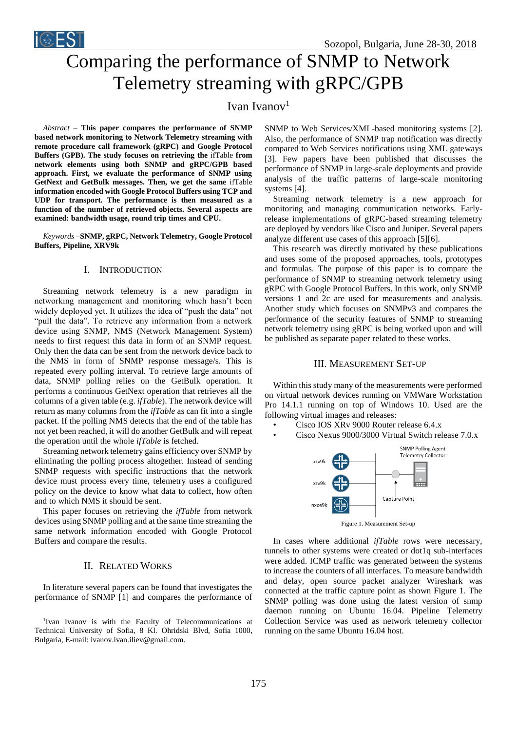

# Comparing the performance of SNMP to Network Telemetry streaming with gRPC/GPB

Ivan Ivanov<sup>1</sup>

*Abstract –* **This paper compares the performance of SNMP based network monitoring to Network Telemetry streaming with remote procedure call framework (gRPC) and Google Protocol Buffers (GPB). The study focuses on retrieving the** ifTable **from network elements using both SNMP and gRPC/GPB based approach. First, we evaluate the performance of SNMP using GetNext and GetBulk messages. Then, we get the same** ifTable **information encoded with Google Protocol Buffers using TCP and UDP for transport. The performance is then measured as a function of the number of retrieved objects. Several aspects are examined: bandwidth usage, round trip times and CPU.** 

*Keywords –***SNMP, gRPC, Network Telemetry, Google Protocol Buffers, Pipeline, XRV9k**

## I. INTRODUCTION

Streaming network telemetry is a new paradigm in networking management and monitoring which hasn't been widely deployed yet. It utilizes the idea of "push the data" not "pull the data". To retrieve any information from a network device using SNMP, NMS (Network Management System) needs to first request this data in form of an SNMP request. Only then the data can be sent from the network device back to the NMS in form of SNMP response message/s. This is repeated every polling interval. To retrieve large amounts of data, SNMP polling relies on the GetBulk operation. It performs a continuous GetNext operation that retrieves all the columns of a given table (e.g. *ifTable*). The network device will return as many columns from the *ifTable* as can fit into a single packet. If the polling NMS detects that the end of the table has not yet been reached, it will do another GetBulk and will repeat the operation until the whole *ifTable* is fetched.

Streaming network telemetry gains efficiency over SNMP by eliminating the polling process altogether. Instead of sending SNMP requests with specific instructions that the network device must process every time, telemetry uses a configured policy on the device to know what data to collect, how often and to which NMS it should be sent.

This paper focuses on retrieving the *ifTable* from network devices using SNMP polling and at the same time streaming the same network information encoded with Google Protocol Buffers and compare the results.

## II. RELATED WORKS

In literature several papers can be found that investigates the performance of SNMP [1] and compares the performance of

1 Ivan Ivanov is with the Faculty of Telecommunications at Technical University of Sofia, 8 Kl. Ohridski Blvd, Sofia 1000, Bulgaria, E-mail: ivanov.ivan.iliev@gmail.com.

SNMP to Web Services/XML-based monitoring systems [2]. Also, the performance of SNMP trap notification was directly compared to Web Services notifications using XML gateways [3]. Few papers have been published that discusses the performance of SNMP in large-scale deployments and provide analysis of the traffic patterns of large-scale monitoring systems [4].

Streaming network telemetry is a new approach for monitoring and managing communication networks. Earlyrelease implementations of gRPC-based streaming telemetry are deployed by vendors like Cisco and Juniper. Several papers analyze different use cases of this approach [5][6].

This research was directly motivated by these publications and uses some of the proposed approaches, tools, prototypes and formulas. The purpose of this paper is to compare the performance of SNMP to streaming network telemetry using gRPC with Google Protocol Buffers. In this work, only SNMP versions 1 and 2c are used for measurements and analysis. Another study which focuses on SNMPv3 and compares the performance of the security features of SNMP to streaming network telemetry using gRPC is being worked upon and will be published as separate paper related to these works.

#### III. MEASUREMENT SET-UP

Within this study many of the measurements were performed on virtual network devices running on VMWare Workstation Pro 14.1.1 running on top of Windows 10. Used are the following virtual images and releases:

- Cisco IOS XRv 9000 Router release 6.4.x
- Cisco Nexus 9000/3000 Virtual Switch release 7.0.x



In cases where additional *ifTable* rows were necessary, tunnels to other systems were created or dot1q sub-interfaces were added. ICMP traffic was generated between the systems to increase the counters of all interfaces. To measure bandwidth and delay, open source packet analyzer Wireshark was connected at the traffic capture point as shown Figure 1. The SNMP polling was done using the latest version of snmp daemon running on Ubuntu 16.04. Pipeline Telemetry Collection Service was used as network telemetry collector running on the same Ubuntu 16.04 host.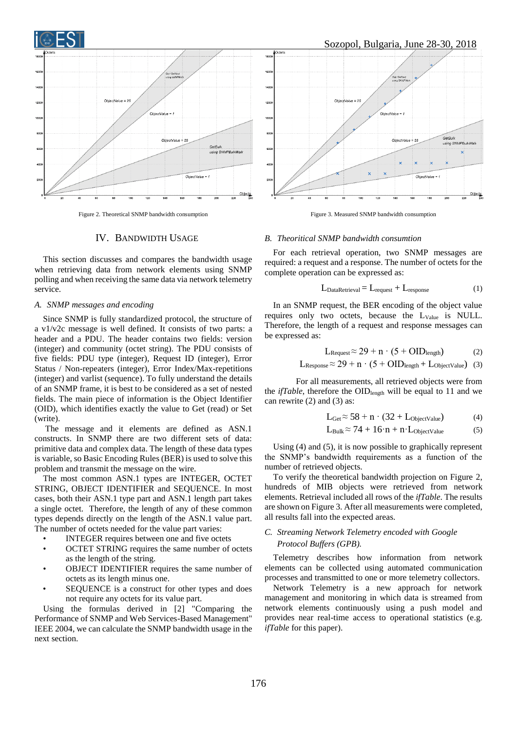

Figure 2. Theoretical SNMP bandwidth consumption

## Sozopol, Bulgaria, June 28-30, 2018



Figure 3. Measured SNMP bandwidth consumption

## IV. BANDWIDTH USAGE

This section discusses and compares the bandwidth usage when retrieving data from network elements using SNMP polling and when receiving the same data via network telemetry service.

#### *A. SNMP messages and encoding*

Since SNMP is fully standardized protocol, the structure of a v1/v2c message is well defined. It consists of two parts: a header and a PDU. The header contains two fields: version (integer) and community (octet string). The PDU consists of five fields: PDU type (integer), Request ID (integer), Error Status / Non-repeaters (integer), Error Index/Max-repetitions (integer) and varlist (sequence). To fully understand the details of an SNMP frame, it is best to be considered as a set of nested fields. The main piece of information is the Object Identifier (OID), which identifies exactly the value to Get (read) or Set (write).

The message and it elements are defined as ASN.1 constructs. In SNMP there are two different sets of data: primitive data and complex data. The length of these data types is variable, so Basic Encoding Rules (BER) is used to solve this problem and transmit the message on the wire.

The most common ASN.1 types are INTEGER, OCTET STRING, OBJECT IDENTIFIER and SEQUENCE. In most cases, both their ASN.1 type part and ASN.1 length part takes a single octet. Therefore, the length of any of these common types depends directly on the length of the ASN.1 value part. The number of octets needed for the value part varies:

- INTEGER requires between one and five octets
- OCTET STRING requires the same number of octets as the length of the string.
- OBJECT IDENTIFIER requires the same number of octets as its length minus one.
- SEQUENCE is a construct for other types and does not require any octets for its value part.

 Using the formulas derived in [2] "Comparing the Performance of SNMP and Web Services-Based Management" IEEE 2004, we can calculate the SNMP bandwidth usage in the next section.

#### *B. Theoritical SNMP bandwidth consumtion*

For each retrieval operation, two SNMP messages are required: a request and a response. The number of octets for the complete operation can be expressed as:

$$
L_{\text{DataRetrieval}} = L_{\text{request}} + L_{\text{response}} \tag{1}
$$

In an SNMP request, the BER encoding of the object value requires only two octets, because the LValue is NULL. Therefore, the length of a request and response messages can be expressed as:

$$
L_{\text{Request}} \approx 29 + n \cdot (5 + \text{OID}_{\text{length}}) \tag{2}
$$

$$
L_{\text{Response}} \approx 29 + n \cdot (5 + OID_{\text{length}} + L_{\text{ObjectValue}}) \quad (3)
$$

For all measurements, all retrieved objects were from the *ifTable*, therefore the OID<sub>length</sub> will be equal to 11 and we can rewrite (2) and (3) as:

$$
L_{\text{Get}} \approx 58 + n \cdot (32 + L_{\text{ObjectValue}}) \tag{4}
$$

$$
L_{Bulk} \approx 74 + 16 \cdot n + n \cdot L_{ObjectValue} \tag{5}
$$

Using (4) and (5), it is now possible to graphically represent the SNMP's bandwidth requirements as a function of the number of retrieved objects.

To verify the theoretical bandwidth projection on Figure 2, hundreds of MIB objects were retrieved from network elements. Retrieval included all rows of the *ifTable*. The results are shown on Figure 3. After all measurements were completed, all results fall into the expected areas.

## *C. Streaming Network Telemetry encoded with Google Protocol Buffers (GPB).*

Telemetry describes how information from network elements can be collected using automated communication processes and transmitted to one or more telemetry collectors.

Network Telemetry is a new approach for network management and monitoring in which data is streamed from network elements continuously using a push model and provides near real-time access to operational statistics (e.g. *ifTable* for this paper).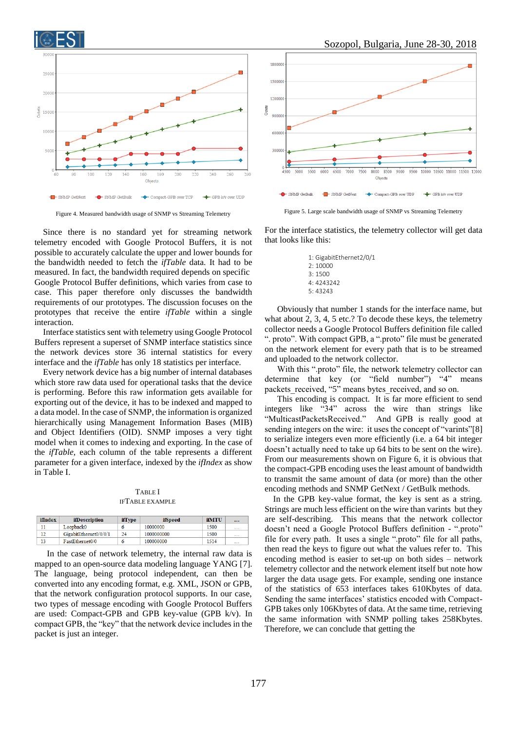

Figure 4. Measured bandwidth usage of SNMP vs Streaming Telemetry

Since there is no standard yet for streaming network telemetry encoded with Google Protocol Buffers, it is not possible to accurately calculate the upper and lower bounds for the bandwidth needed to fetch the *ifTable* data. It had to be measured. In fact, the bandwidth required depends on specific Google Protocol Buffer definitions, which varies from case to case. This paper therefore only discusses the bandwidth requirements of our prototypes. The discussion focuses on the prototypes that receive the entire *ifTable* within a single interaction.

Interface statistics sent with telemetry using Google Protocol Buffers represent a superset of SNMP interface statistics since the network devices store 36 internal statistics for every interface and the *ifTable* has only 18 statistics per interface.

Every network device has a big number of internal databases which store raw data used for operational tasks that the device is performing. Before this raw information gets available for exporting out of the device, it has to be indexed and mapped to a data model. In the case of SNMP, the information is organized hierarchically using Management Information Bases (MIB) and Object Identifiers (OID). SNMP imposes a very tight model when it comes to indexing and exporting. In the case of the *ifTable*, each column of the table represents a different parameter for a given interface, indexed by the *ifIndex* as show in Table I.

TABLE I IFTABLE EXAMPLE

| ifIndex | <i>ifDescription</i>   | <b>ifType</b> | ifSpeed    | ifMTU | $\cdots$ |
|---------|------------------------|---------------|------------|-------|----------|
|         | Loopback0              |               | 10000000   | 1500  | $\cdots$ |
| 12      | GigabitEthernet0/0/0/1 | 24            | 1000000000 | 1500  | $\cdots$ |
|         | FastEthernet0/0        |               | 100000000  | 1514  | $\cdots$ |

In the case of network telemetry, the internal raw data is mapped to an open-source data modeling language YANG [7]. The language, being protocol independent, can then be converted into any encoding format, e.g. XML, JSON or GPB, that the network configuration protocol supports. In our case, two types of message encoding with Google Protocol Buffers are used: Compact-GPB and GPB key-value (GPB k/v). In compact GPB, the "key" that the network device includes in the packet is just an integer.





Figure 5. Large scale bandwidth usage of SNMP vs Streaming Telemetry

For the interface statistics, the telemetry collector will get data that looks like this:

> 1: GigabitEthernet2/0/1 2: 10000 3: 1500 4: 4243242 5: 43243

Obviously that number 1 stands for the interface name, but what about 2, 3, 4, 5 etc.? To decode these keys, the telemetry collector needs a Google Protocol Buffers definition file called ". proto". With compact GPB, a ".proto" file must be generated on the network element for every path that is to be streamed and uploaded to the network collector.

With this ".proto" file, the network telemetry collector can determine that key (or "field number") "4" means packets received, "5" means bytes received, and so on.

This encoding is compact. It is far more efficient to send integers like "34" across the wire than strings like "MulticastPacketsReceived." And GPB is really good at sending integers on the wire: it uses the concept of "varints"[8] to serialize integers even more efficiently (i.e. a 64 bit integer doesn't actually need to take up 64 bits to be sent on the wire). From our measurements shown on Figure 6, it is obvious that the compact-GPB encoding uses the least amount of bandwidth to transmit the same amount of data (or more) than the other encoding methods and SNMP GetNext / GetBulk methods.

In the GPB key-value format, the key is sent as a string. Strings are much less efficient on the wire than varints but they are self-describing. This means that the network collector doesn't need a Google Protocol Buffers definition - ".proto" file for every path. It uses a single ".proto" file for all paths, then read the keys to figure out what the values refer to. This encoding method is easier to set-up on both sides – network telemetry collector and the network element itself but note how larger the data usage gets. For example, sending one instance of the statistics of 653 interfaces takes 610Kbytes of data. Sending the same interfaces' statistics encoded with Compact-GPB takes only 106Kbytes of data. At the same time, retrieving the same information with SNMP polling takes 258Kbytes. Therefore, we can conclude that getting the